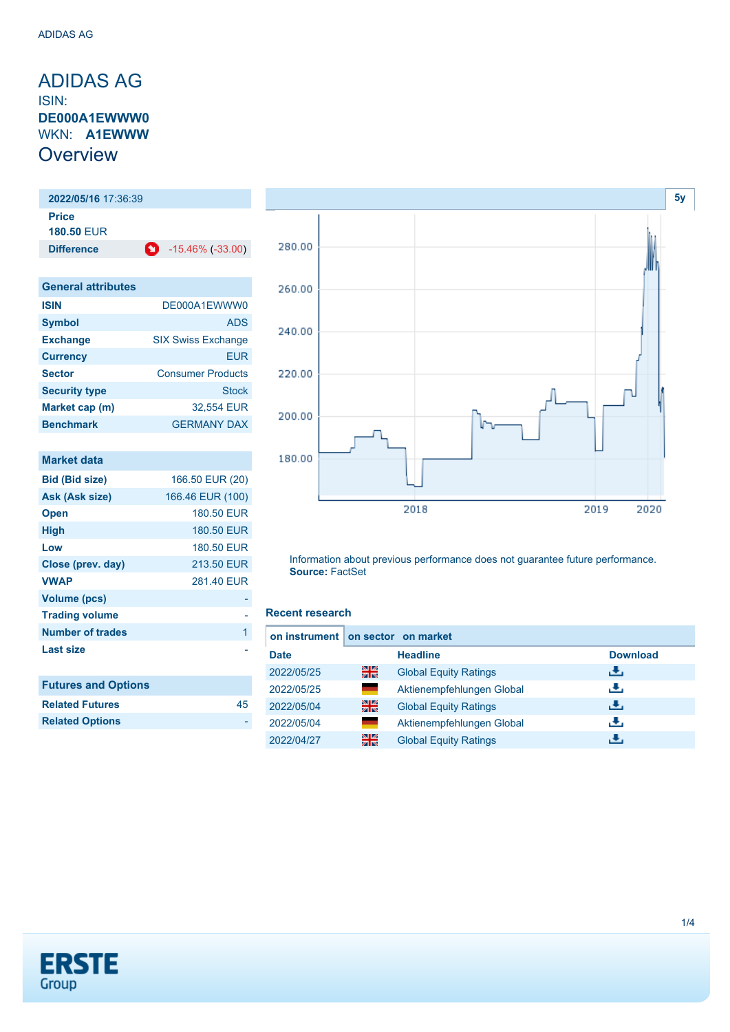### <span id="page-0-0"></span>ADIDAS AG ISIN: **DE000A1EWWW0** WKN: **A1EWWW Overview**

**2022/05/16** 17:36:39 **Price 180.50** EUR **Difference** -15.46% (-33.00)

| <b>General attributes</b> |                           |
|---------------------------|---------------------------|
| <b>ISIN</b>               | DE000A1EWWW0              |
| <b>Symbol</b>             | <b>ADS</b>                |
| <b>Exchange</b>           | <b>SIX Swiss Exchange</b> |
| <b>Currency</b>           | <b>EUR</b>                |
| <b>Sector</b>             | <b>Consumer Products</b>  |
| <b>Security type</b>      | <b>Stock</b>              |
| Market cap (m)            | 32,554 EUR                |
| <b>Benchmark</b>          | <b>GERMANY DAX</b>        |

| <b>Market data</b>         |                  |
|----------------------------|------------------|
| Bid (Bid size)             | 166.50 EUR (20)  |
| Ask (Ask size)             | 166.46 EUR (100) |
| <b>Open</b>                | 180.50 EUR       |
| High                       | 180.50 EUR       |
| Low                        | 180.50 EUR       |
| Close (prev. day)          | 213.50 EUR       |
| <b>VWAP</b>                | 281.40 EUR       |
| Volume (pcs)               |                  |
| <b>Trading volume</b>      |                  |
| <b>Number of trades</b>    | 1                |
| <b>Last size</b>           |                  |
|                            |                  |
| <b>Futures and Options</b> |                  |
| <b>Related Futures</b>     | 45               |



Information about previous performance does not guarantee future performance. **Source:** FactSet

#### **Recent research**

| on instrument on sector on market |                |                              |                 |  |
|-----------------------------------|----------------|------------------------------|-----------------|--|
| <b>Date</b>                       |                | <b>Headline</b>              | <b>Download</b> |  |
| 2022/05/25                        | 읡              | <b>Global Equity Ratings</b> | æ,              |  |
| 2022/05/25                        | $\blacksquare$ | Aktienempfehlungen Global    | æ,              |  |
| 2022/05/04                        | 을중             | <b>Global Equity Ratings</b> | æ,              |  |
| 2022/05/04                        | ▀              | Aktienempfehlungen Global    | æ,              |  |
| 2022/04/27                        | 을중             | <b>Global Equity Ratings</b> |                 |  |



**Related Options**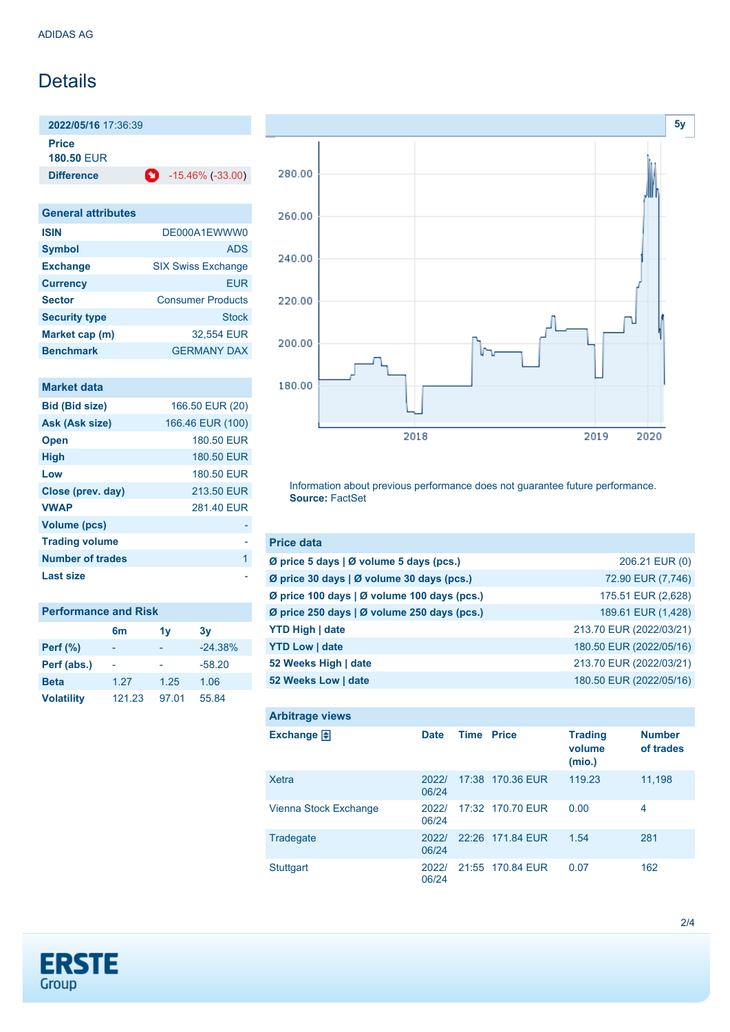## **Details**

**2022/05/16** 17:36:39

**Price**

**180.50** EUR

**Difference** -15.46% (-33.00)

| <b>General attributes</b> |                           |
|---------------------------|---------------------------|
| <b>ISIN</b>               | DE000A1EWWW0              |
| <b>Symbol</b>             | <b>ADS</b>                |
| <b>Exchange</b>           | <b>SIX Swiss Exchange</b> |
| <b>Currency</b>           | <b>EUR</b>                |
| <b>Sector</b>             | <b>Consumer Products</b>  |
| <b>Security type</b>      | Stock                     |
| Market cap (m)            | 32,554 EUR                |
| <b>Benchmark</b>          | <b>GERMANY DAX</b>        |

| <b>Market data</b> |  |
|--------------------|--|
|                    |  |

| <b>Bid (Bid size)</b> | 166.50 EUR (20)  |
|-----------------------|------------------|
| Ask (Ask size)        | 166.46 EUR (100) |
| <b>Open</b>           | 180.50 EUR       |
| <b>High</b>           | 180.50 EUR       |
| Low                   | 180.50 EUR       |
| Close (prev. day)     | 213.50 EUR       |
| <b>VWAP</b>           | 281.40 EUR       |
| <b>Volume (pcs)</b>   |                  |
| <b>Trading volume</b> |                  |
| Number of trades      | 1                |
| Last size             |                  |

| <b>Performance and Risk</b> |        |       |           |  |
|-----------------------------|--------|-------|-----------|--|
|                             | 6m     | 1v    | 3v        |  |
| <b>Perf (%)</b>             |        |       | $-24.38%$ |  |
| Perf (abs.)                 |        |       | $-58.20$  |  |
| <b>Beta</b>                 | 1.27   | 1.25  | 1.06      |  |
| <b>Volatility</b>           | 121.23 | 97.01 | 55.84     |  |



Information about previous performance does not guarantee future performance. **Source:** FactSet

| <b>Price data</b>                                         |                         |
|-----------------------------------------------------------|-------------------------|
| $\emptyset$ price 5 days $\emptyset$ volume 5 days (pcs.) | 206.21 EUR (0)          |
| Ø price 30 days   Ø volume 30 days (pcs.)                 | 72.90 EUR (7,746)       |
| Ø price 100 days   Ø volume 100 days (pcs.)               | 175.51 EUR (2,628)      |
| Ø price 250 days   Ø volume 250 days (pcs.)               | 189.61 EUR (1,428)      |
| <b>YTD High   date</b>                                    | 213.70 EUR (2022/03/21) |
| <b>YTD Low   date</b>                                     | 180.50 EUR (2022/05/16) |
| 52 Weeks High   date                                      | 213.70 EUR (2022/03/21) |
| 52 Weeks Low   date                                       | 180.50 EUR (2022/05/16) |

| <b>Arbitrage views</b> |                |                   |                  |                                    |                            |
|------------------------|----------------|-------------------|------------------|------------------------------------|----------------------------|
| Exchange $\bigoplus$   | <b>Date</b>    | <b>Time Price</b> |                  | <b>Trading</b><br>volume<br>(mio.) | <b>Number</b><br>of trades |
| Xetra                  | 2022/<br>06/24 |                   | 17:38 170.36 EUR | 119.23                             | 11,198                     |
| Vienna Stock Exchange  | 2022/<br>06/24 |                   | 17:32 170.70 EUR | 0.00                               | 4                          |
| Tradegate              | 2022/<br>06/24 |                   | 22:26 171.84 EUR | 1.54                               | 281                        |
| <b>Stuttgart</b>       | 20221<br>06/24 |                   | 21:55 170.84 EUR | 0.07                               | 162                        |

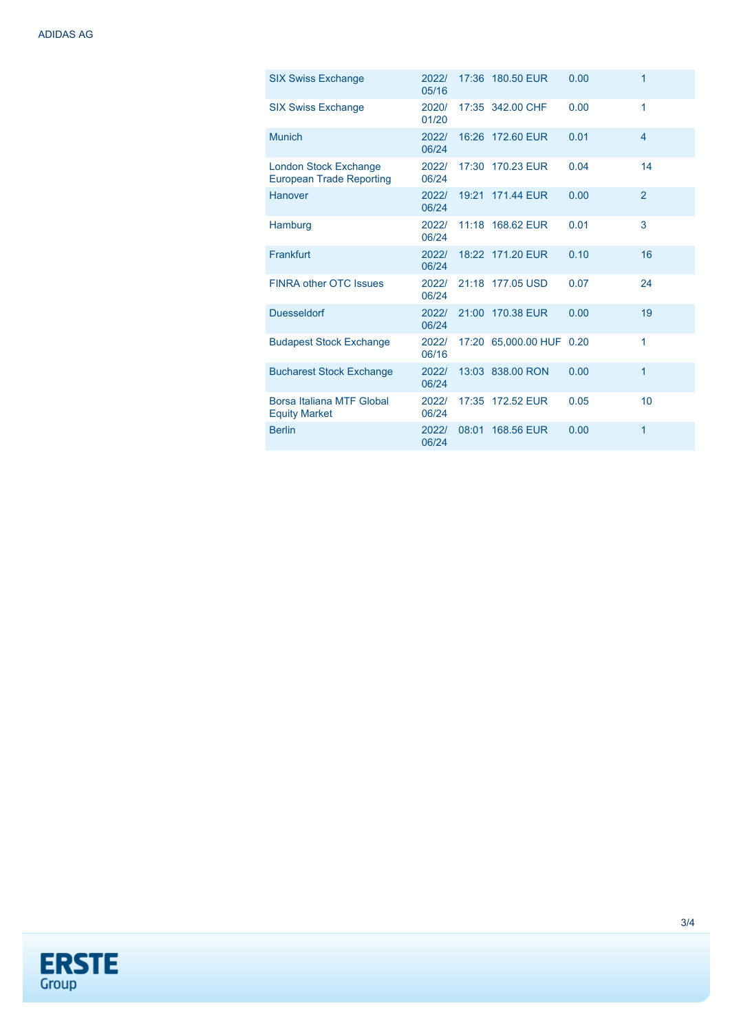| <b>SIX Swiss Exchange</b>                                | 2022/<br>05/16 |       | 17:36 180.50 EUR         | 0.00 | 1              |
|----------------------------------------------------------|----------------|-------|--------------------------|------|----------------|
| <b>SIX Swiss Exchange</b>                                | 2020/<br>01/20 |       | 17:35 342.00 CHF         | 0.00 | 1              |
| <b>Munich</b>                                            | 2022/<br>06/24 |       | 16:26 172.60 EUR         | 0.01 | $\overline{4}$ |
| London Stock Exchange<br><b>European Trade Reporting</b> | 2022/<br>06/24 |       | 17:30 170.23 EUR         | 0.04 | 14             |
| Hanover                                                  | 2022/<br>06/24 |       | 19:21 171.44 EUR         | 0.00 | $\overline{2}$ |
| Hamburg                                                  | 2022/<br>06/24 |       | 11:18 168.62 EUR         | 0.01 | 3              |
| Frankfurt                                                | 2022/<br>06/24 |       | 18:22 171.20 EUR         | 0.10 | 16             |
| <b>FINRA other OTC Issues</b>                            | 2022/<br>06/24 |       | 21:18 177.05 USD         | 0.07 | 24             |
| <b>Duesseldorf</b>                                       | 2022/<br>06/24 |       | 21:00 170.38 EUR         | 0.00 | 19             |
| <b>Budapest Stock Exchange</b>                           | 2022/<br>06/16 |       | 17:20 65,000.00 HUF 0.20 |      | 1              |
| <b>Bucharest Stock Exchange</b>                          | 2022/<br>06/24 |       | 13:03 838.00 RON         | 0.00 | 1              |
| Borsa Italiana MTF Global<br><b>Equity Market</b>        | 2022/<br>06/24 |       | 17:35 172.52 EUR         | 0.05 | 10             |
| <b>Berlin</b>                                            | 2022/<br>06/24 | 08:01 | 168,56 EUR               | 0.00 | 1              |